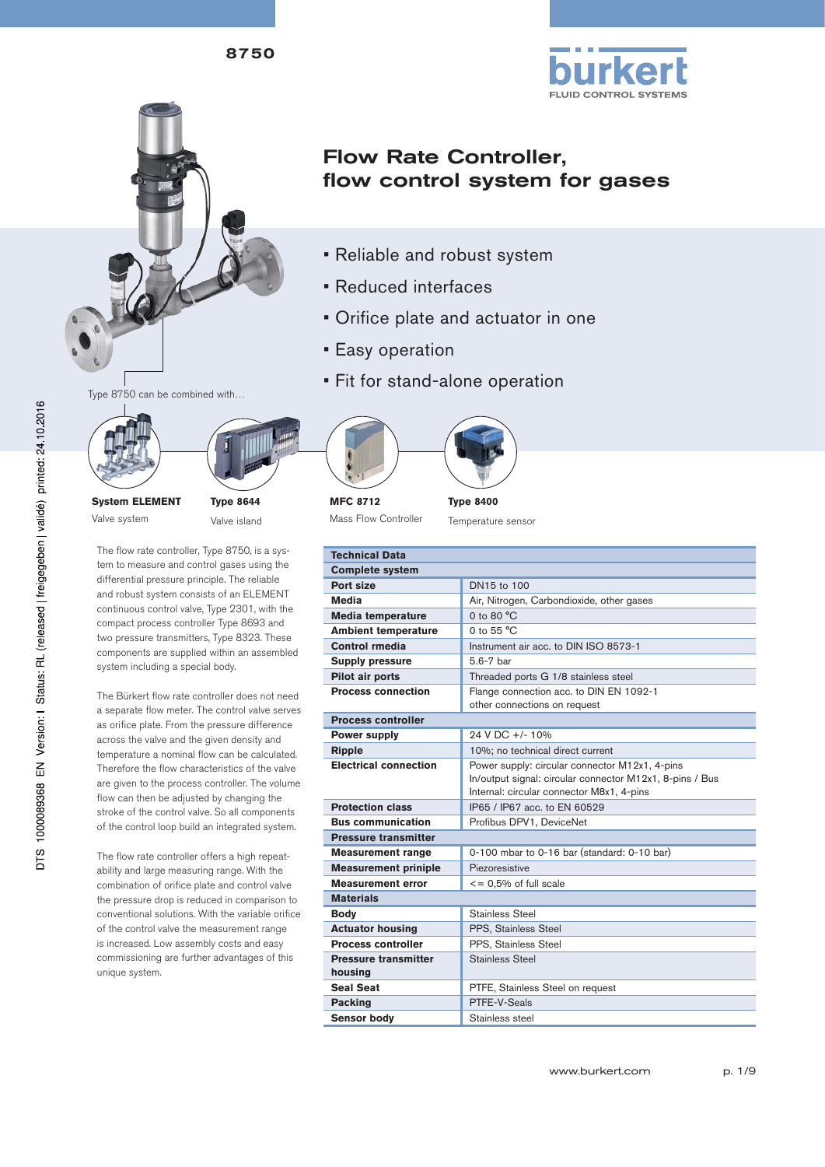



# Flow Rate Controller, flow control system for gases

- Reliable and robust system
- Reduced interfaces
- Orifice plate and actuator in one
- Easy operation
- Fit for stand-alone operation





**System ELEMENT** Valve system

**Type 8644** Valve island

The flow rate controller, Type 8750, is a system to measure and control gases using the differential pressure principle. The reliable and robust system consists of an ELEMENT continuous control valve, Type 2301, with the compact process controller Type 8693 and two pressure transmitters, Type 8323. These components are supplied within an assembled system including a special body.

The Bürkert flow rate controller does not need a separate flow meter. The control valve serves as orifice plate. From the pressure difference across the valve and the given density and temperature a nominal flow can be calculated. Therefore the flow characteristics of the valve are given to the process controller. The volume flow can then be adjusted by changing the stroke of the control valve. So all components of the control loop build an integrated system.

The flow rate controller offers a high repeatability and large measuring range. With the combination of orifice plate and control valve the pressure drop is reduced in comparison to conventional solutions. With the variable orifice of the control valve the measurement range is increased. Low assembly costs and easy commissioning are further advantages of this unique system.



**MFC 8712** Mass Flow Controller



|  | iype 6400          |  |
|--|--------------------|--|
|  | Temperature sensor |  |

| <b>Technical Data</b>        |                                                                                                       |
|------------------------------|-------------------------------------------------------------------------------------------------------|
| <b>Complete system</b>       |                                                                                                       |
| Port size                    | DN15 to 100                                                                                           |
| <b>Media</b>                 | Air, Nitrogen, Carbondioxide, other gases                                                             |
| <b>Media temperature</b>     | 0 to 80 °C                                                                                            |
| <b>Ambient temperature</b>   | 0 to $55 °C$                                                                                          |
| Control rmedia               | Instrument air acc. to DIN ISO 8573-1                                                                 |
| <b>Supply pressure</b>       | 5.6-7 bar                                                                                             |
| Pilot air ports              | Threaded ports G 1/8 stainless steel                                                                  |
| <b>Process connection</b>    | Flange connection acc. to DIN EN 1092-1                                                               |
|                              | other connections on request                                                                          |
| <b>Process controller</b>    |                                                                                                       |
| <b>Power supply</b>          | 24 V DC +/- 10%                                                                                       |
| <b>Ripple</b>                | 10%; no technical direct current                                                                      |
| <b>Electrical connection</b> | Power supply: circular connector M12x1, 4-pins                                                        |
|                              | In/output signal: circular connector M12x1, 8-pins / Bus<br>Internal: circular connector M8x1, 4-pins |
| <b>Protection class</b>      | IP65 / IP67 acc. to EN 60529                                                                          |
| <b>Bus communication</b>     | Profibus DPV1, DeviceNet                                                                              |
| <b>Pressure transmitter</b>  |                                                                                                       |
| <b>Measurement range</b>     | 0-100 mbar to 0-16 bar (standard: 0-10 bar)                                                           |
| <b>Measurement priniple</b>  | Piezoresistive                                                                                        |
| <b>Measurement error</b>     | $\le$ = 0,5% of full scale                                                                            |
| <b>Materials</b>             |                                                                                                       |
| Body                         | Stainless Steel                                                                                       |
| <b>Actuator housing</b>      | PPS, Stainless Steel                                                                                  |
| <b>Process controller</b>    | PPS. Stainless Steel                                                                                  |
| <b>Pressure transmitter</b>  | Stainless Steel                                                                                       |
| housing                      |                                                                                                       |
| <b>Seal Seat</b>             | PTFE, Stainless Steel on request                                                                      |
| <b>Packing</b>               | PTFF-V-Seals                                                                                          |
| <b>Sensor body</b>           | Stainless steel                                                                                       |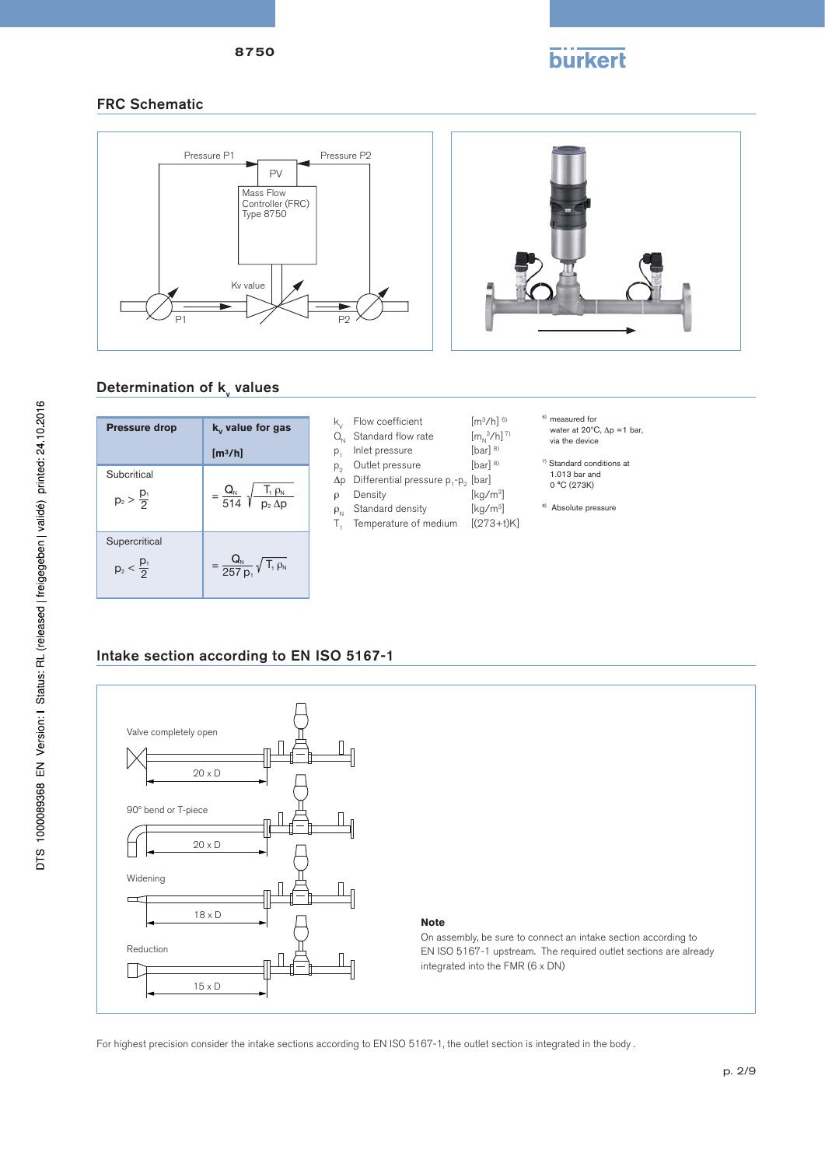

# **burkert**

### FRC Schematic



# Determination of **k**<sub>v</sub> values

| <b>Pressure drop</b>                   | $k_{v}$ value for gas                                            |
|----------------------------------------|------------------------------------------------------------------|
|                                        | [m <sup>3</sup> /h]                                              |
| Subcritical<br>$p_2 > \frac{p_1}{2}$   | $=\frac{Q_{N}}{514}\sqrt{\frac{T_{1} \rho_{N}}{p_{2} \Delta p}}$ |
| Supercritical<br>$p_2 < \frac{p_1}{2}$ | $=\frac{Q_N}{257 p_1}\sqrt{T_1 \rho_N}$                          |

- Flow coefficient  $[m^3/h]$ <sup>6)</sup>
- Standard flow rate  $[m_N^3/h]$ <br>Inlet pressure [bar] <sup>8)</sup>
- 
- $\begin{array}{lll} \text{Inlet pressure} & \text{[bar]}^{\; \text{\tiny \text{8}}}\ \text{Durl} \end{array}$ Outlet pressure
- Differential pressure  $p_1-p_2$  [bar]<br>Density [kg/m<sup>3</sup>]
- Density
- 
- Standard density [kg/m<sup>3</sup>]<br>Temperature of medium [(273+t)K] Temperature of medium
	-

6) measured for

 $[m_{N}^{3}/h]$ <sup>7)</sup>

- water at 20°C, Δp =1 bar,<br>via the device
- 7) Standard conditions at 1.013 bar and 0 °C (273K)
- <sup>8)</sup> Absolute pressure

### Intake section according to EN ISO 5167-1



For highest precision consider the intake sections according to EN ISO 5167-1, the outlet section is integrated in the body .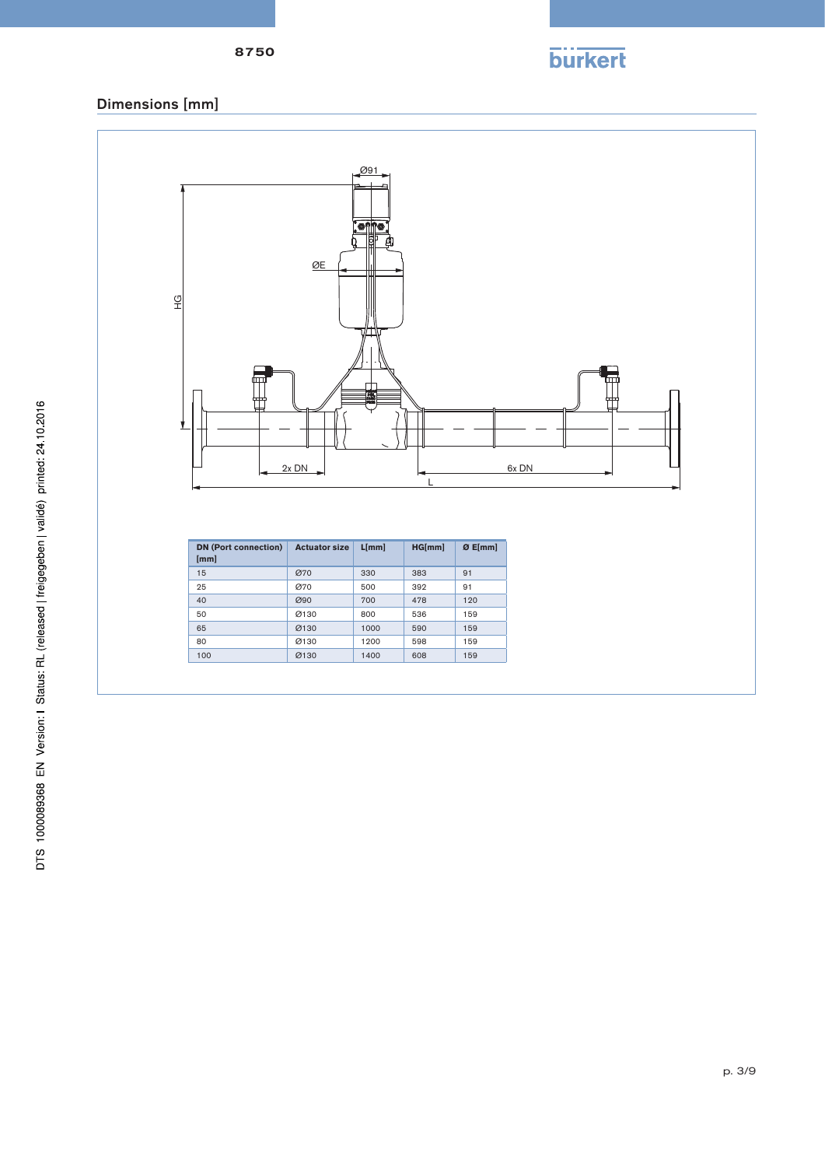

### 8750

# Dimensions [mm]

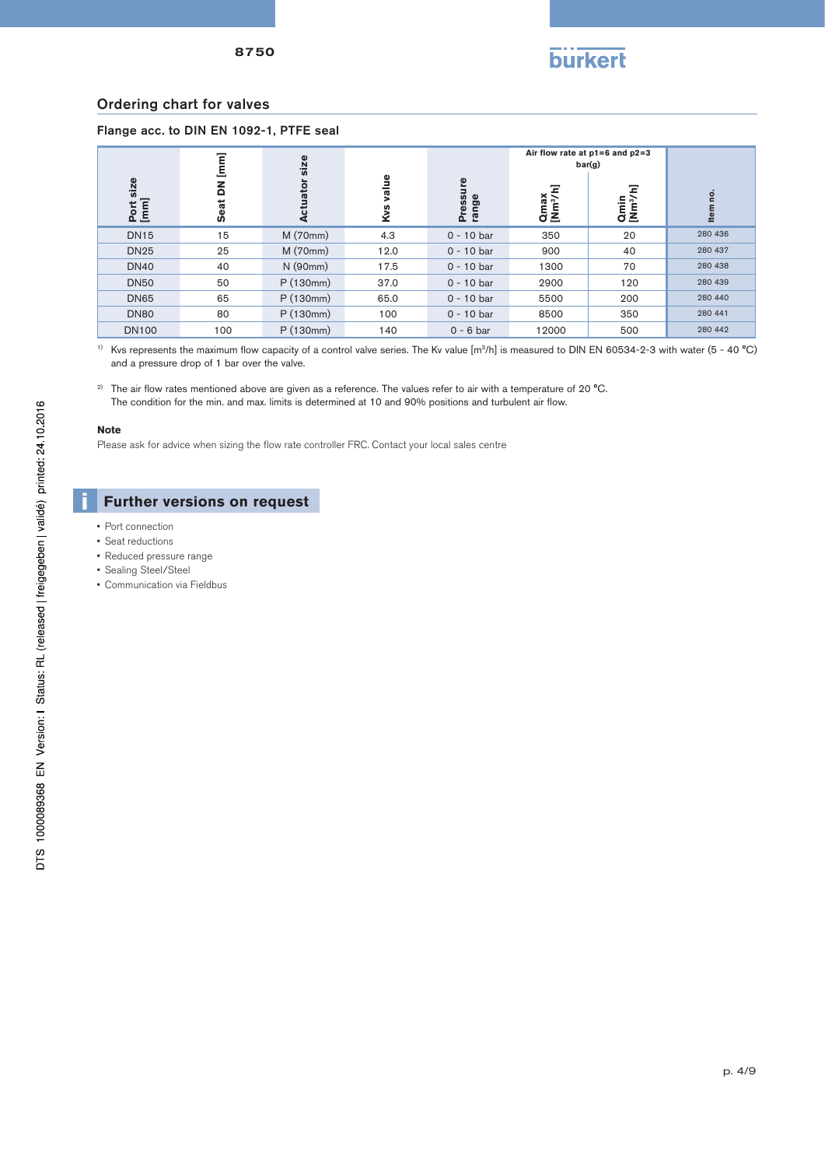

#### Ordering chart for valves

#### Flange acc. to DIN EN 1092-1, PTFE seal

|                   |                                              |                                                                                                                                                                                                                               |           |                   |                              | Air flow rate at $p1=6$ and $p2=3$<br>bar(g) |                                                                                                                                                   |
|-------------------|----------------------------------------------|-------------------------------------------------------------------------------------------------------------------------------------------------------------------------------------------------------------------------------|-----------|-------------------|------------------------------|----------------------------------------------|---------------------------------------------------------------------------------------------------------------------------------------------------|
| Port size<br>[mm] | DN [mm]<br>Seat                              | <b>Actuator size</b>                                                                                                                                                                                                          | Kvs value | Pressure<br>range | Qmax<br>[Nm <sup>3</sup> /h] | Qmin<br>[Nm <sup>3</sup> /h]                 | Item no.                                                                                                                                          |
| <b>DN15</b>       | 15                                           | M (70mm)                                                                                                                                                                                                                      | 4.3       | $0 - 10$ bar      | 350                          | 20                                           | 280 436                                                                                                                                           |
| <b>DN25</b>       | 25                                           | M (70mm)                                                                                                                                                                                                                      | 12.0      | $0 - 10$ bar      | 900                          | 40                                           | 280 437                                                                                                                                           |
| <b>DN40</b>       | 40                                           | N(90mm)                                                                                                                                                                                                                       | 17.5      | $0 - 10$ bar      | 1300                         | 70                                           | 280 438                                                                                                                                           |
| <b>DN50</b>       | 50                                           | P(130mm)                                                                                                                                                                                                                      | 37.0      | $0 - 10$ bar      | 2900                         | 120                                          | 280 439                                                                                                                                           |
| <b>DN65</b>       | 65                                           | P(130mm)                                                                                                                                                                                                                      | 65.0      | $0 - 10$ bar      | 5500                         | 200                                          | 280 440                                                                                                                                           |
| <b>DN80</b>       | 80                                           | P(130mm)                                                                                                                                                                                                                      | 100       | $0 - 10$ bar      | 8500                         | 350                                          | 280 441                                                                                                                                           |
| <b>DN100</b>      | 100                                          | P(130mm)                                                                                                                                                                                                                      | 140       | $0 - 6$ bar       | 12000                        | 500                                          | 280 442                                                                                                                                           |
|                   | and a pressure drop of 1 bar over the valve. | The air flow rates mentioned above are given as a reference. The values refer to air with a temperature of 20 °C.<br>The condition for the min. and max. limits is determined at 10 and 90% positions and turbulent air flow. |           |                   |                              |                                              | Kys represents the maximum flow capacity of a control valve series. The Ky value $[m^3/h]$ is measured to DIN EN 60534-2-3 with water (5 - 40 °C) |
| <b>Note</b>       |                                              | Please ask for advice when sizing the flow rate controller FRC. Contact your local sales centre                                                                                                                               |           |                   |                              |                                              |                                                                                                                                                   |
|                   | <b>Further versions on request</b>           |                                                                                                                                                                                                                               |           |                   |                              |                                              |                                                                                                                                                   |

#### **Note**

- Port connection
- Seat reductions
- Reduced pressure range
- Sealing Steel/Steel
- Communication via Fieldbus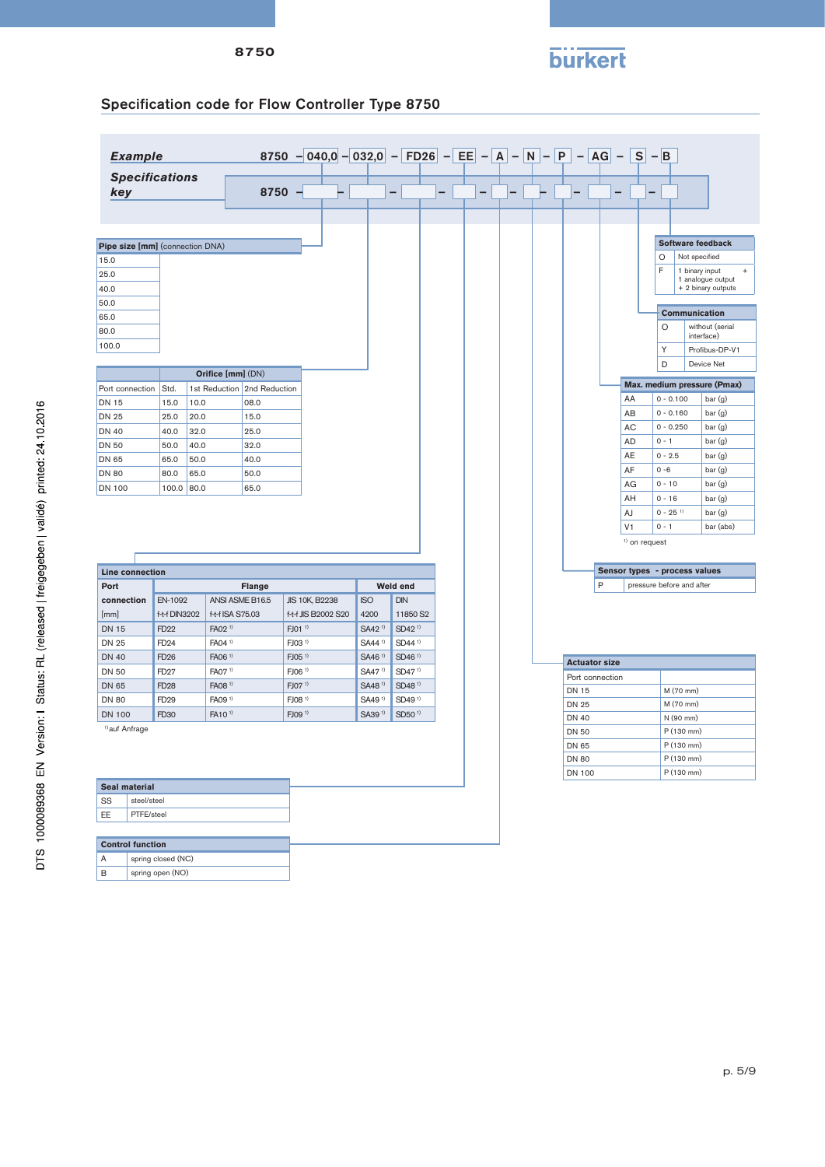# **burkert**

# Specification code for Flow Controller Type 8750

|                                                         | <b>Example</b>          |               |      |                             | 8750 - 040,0 - 032,0 - FD26 - EE - A - N - P - AG - S - B |                    |                          |  |                          |  |  |                                 |   |                |                 |                               |                                 |                                                                        |
|---------------------------------------------------------|-------------------------|---------------|------|-----------------------------|-----------------------------------------------------------|--------------------|--------------------------|--|--------------------------|--|--|---------------------------------|---|----------------|-----------------|-------------------------------|---------------------------------|------------------------------------------------------------------------|
| key                                                     | <b>Specifications</b>   |               |      |                             | $8750 -$                                                  |                    | $\overline{\phantom{0}}$ |  | $\overline{\phantom{0}}$ |  |  |                                 |   |                |                 |                               |                                 |                                                                        |
| Pipe size [mm] (connection DNA)<br>15.0<br>25.0<br>40.0 |                         |               |      |                             |                                                           |                    |                          |  |                          |  |  |                                 |   |                |                 | O<br>F                        | Not specified<br>1 binary input | Software feedback<br>$^{+}$<br>1 analogue output<br>+ 2 binary outputs |
| 50.0<br>65.0<br>80.0                                    |                         |               |      |                             |                                                           |                    |                          |  |                          |  |  |                                 |   |                |                 | Communication<br>$\circ$      |                                 | without (serial<br>interface)                                          |
| 100.0                                                   |                         |               |      |                             |                                                           |                    |                          |  |                          |  |  |                                 |   |                |                 | Y<br>D                        |                                 | Profibus-DP-V1<br>Device Net                                           |
|                                                         |                         |               |      | Orifice [mm] (DN)           |                                                           |                    |                          |  |                          |  |  |                                 |   |                |                 |                               |                                 | Max. medium pressure (Pmax)                                            |
| Port connection                                         |                         | Std.          |      | 1st Reduction 2nd Reduction |                                                           |                    |                          |  |                          |  |  |                                 |   |                | AA              | $0 - 0.100$                   |                                 | bar(g)                                                                 |
| <b>DN 15</b>                                            |                         | 15.0          | 10.0 | 08.0                        |                                                           |                    |                          |  |                          |  |  |                                 |   |                | AB              | $0 - 0.160$                   |                                 | bar (g)                                                                |
| <b>DN 25</b>                                            |                         | 25.0          | 20.0 | 15.0                        |                                                           |                    |                          |  |                          |  |  |                                 |   |                | AC              | $0 - 0.250$                   |                                 | bar (g)                                                                |
| <b>DN 40</b><br><b>DN 50</b>                            |                         | 40.0          | 32.0 | 25.0                        |                                                           |                    |                          |  |                          |  |  |                                 |   |                | <b>AD</b>       | $0 - 1$                       |                                 | bar (g)                                                                |
|                                                         |                         | 50.0          | 40.0 | 32.0                        |                                                           |                    |                          |  |                          |  |  |                                 |   |                | AE              | $0 - 2.5$                     |                                 | bar (g)                                                                |
| <b>DN 65</b>                                            |                         | 65.0          | 50.0 | 40.0                        |                                                           |                    |                          |  |                          |  |  |                                 |   |                | AF              | $0 - 6$                       |                                 | bar (g)                                                                |
| <b>DN 80</b>                                            |                         | 80.0          | 65.0 | 50.0                        |                                                           |                    |                          |  |                          |  |  |                                 |   |                | AG              | $0 - 10$                      |                                 | bar (g)                                                                |
| <b>DN 100</b>                                           |                         | 100.0 80.0    |      | 65.0                        |                                                           |                    |                          |  |                          |  |  |                                 |   |                | AH              | $0 - 16$                      |                                 | bar (g)                                                                |
|                                                         |                         |               |      |                             |                                                           |                    |                          |  |                          |  |  |                                 |   |                | AJ              | $0 - 25$ <sup>1)</sup>        |                                 | bar (g)                                                                |
|                                                         |                         |               |      |                             |                                                           |                    |                          |  |                          |  |  |                                 |   | V <sub>1</sub> |                 | $0 - 1$                       |                                 | bar (abs)                                                              |
|                                                         |                         |               |      |                             |                                                           |                    |                          |  |                          |  |  |                                 |   |                | $1)$ on request |                               |                                 |                                                                        |
|                                                         |                         |               |      |                             |                                                           |                    |                          |  |                          |  |  |                                 |   |                |                 |                               |                                 |                                                                        |
|                                                         | <b>Line connection</b>  |               |      |                             |                                                           |                    |                          |  |                          |  |  |                                 |   |                |                 | Sensor types - process values |                                 |                                                                        |
| Port                                                    |                         |               |      | <b>Flange</b>               |                                                           |                    | Weld end                 |  |                          |  |  |                                 | P |                |                 | pressure before and after     |                                 |                                                                        |
| connection                                              |                         | EN-1092       |      | ANSI ASME B16.5             | JIS 10K, B2238                                            | <b>ISO</b>         | DIN                      |  |                          |  |  |                                 |   |                |                 |                               |                                 |                                                                        |
| [mm]                                                    |                         | f-t-f DIN3202 |      | f-t-f ISA S75.03            | f-t-f JIS B2002 S20                                       | 4200               | 11850 S2                 |  |                          |  |  |                                 |   |                |                 |                               |                                 |                                                                        |
| <b>DN 15</b>                                            |                         | FD22          |      | FA02 <sup>1)</sup>          | FJ01 <sup>1)</sup>                                        | SA42 <sup>1)</sup> | SD42 <sup>1)</sup>       |  |                          |  |  |                                 |   |                |                 |                               |                                 |                                                                        |
| <b>DN 25</b>                                            |                         | FD24          |      | FA04 <sup>1)</sup>          | FJ03 <sup>1</sup>                                         | SA44 <sup>1)</sup> | SD44 <sup>1)</sup>       |  |                          |  |  |                                 |   |                |                 |                               |                                 |                                                                        |
| <b>DN 40</b>                                            |                         | <b>FD26</b>   |      | FA06 <sup>1)</sup>          | $FJO5^{1}$                                                | SA46 <sup>1)</sup> | SD46 <sup>1)</sup>       |  |                          |  |  |                                 |   |                |                 |                               |                                 |                                                                        |
| <b>DN 50</b>                                            |                         | <b>FD27</b>   |      | FA07 <sup>1)</sup>          | FJ06 <sup>1)</sup>                                        | SA47 <sup>1)</sup> | SD47 <sup>1)</sup>       |  |                          |  |  | <b>Actuator size</b>            |   |                |                 |                               |                                 |                                                                        |
| DN 65                                                   |                         | <b>FD28</b>   |      | FA08 <sup>1)</sup>          | FJ07 <sup>1)</sup>                                        | SA48 <sup>1)</sup> | SD48 <sup>1)</sup>       |  |                          |  |  | Port connection<br><b>DN 15</b> |   |                |                 |                               |                                 |                                                                        |
| <b>DN 80</b>                                            |                         | FD29          |      | FA09 <sup>1)</sup>          | FJ08 <sup>1)</sup>                                        | SA49 <sup>1)</sup> | SD49 <sup>1)</sup>       |  |                          |  |  |                                 |   |                |                 | M (70 mm)                     |                                 |                                                                        |
| <b>DN 100</b>                                           |                         | FD30          |      | FA10 <sup>1)</sup>          | FJ09 <sup>1)</sup>                                        | SA39 <sup>1)</sup> | SD50 <sup>1)</sup>       |  |                          |  |  | <b>DN 25</b><br><b>DN 40</b>    |   |                |                 | M (70 mm)<br>N (90 mm)        |                                 |                                                                        |
| <sup>1)</sup> auf Anfrage                               |                         |               |      |                             |                                                           |                    |                          |  |                          |  |  | DN 50                           |   |                |                 | P (130 mm)                    |                                 |                                                                        |
|                                                         |                         |               |      |                             |                                                           |                    |                          |  |                          |  |  | DN 65                           |   |                |                 | P (130 mm)                    |                                 |                                                                        |
|                                                         |                         |               |      |                             |                                                           |                    |                          |  |                          |  |  | DN 80                           |   |                |                 | P (130 mm)                    |                                 |                                                                        |
|                                                         |                         |               |      |                             |                                                           |                    |                          |  |                          |  |  | <b>DN 100</b>                   |   |                |                 | P (130 mm)                    |                                 |                                                                        |
| Seal material                                           |                         |               |      |                             |                                                           |                    |                          |  |                          |  |  |                                 |   |                |                 |                               |                                 |                                                                        |
| SS                                                      | steel/steel             |               |      |                             |                                                           |                    |                          |  |                          |  |  |                                 |   |                |                 |                               |                                 |                                                                        |
| EE                                                      | PTFE/steel              |               |      |                             |                                                           |                    |                          |  |                          |  |  |                                 |   |                |                 |                               |                                 |                                                                        |
|                                                         | <b>Control function</b> |               |      |                             |                                                           |                    |                          |  |                          |  |  |                                 |   |                |                 |                               |                                 |                                                                        |
| Α                                                       | spring closed (NC)      |               |      |                             |                                                           |                    |                          |  |                          |  |  |                                 |   |                |                 |                               |                                 |                                                                        |
|                                                         |                         |               |      |                             |                                                           |                    |                          |  |                          |  |  |                                 |   |                |                 |                               |                                 |                                                                        |
| B                                                       | spring open (NO)        |               |      |                             |                                                           |                    |                          |  |                          |  |  |                                 |   |                |                 |                               |                                 |                                                                        |